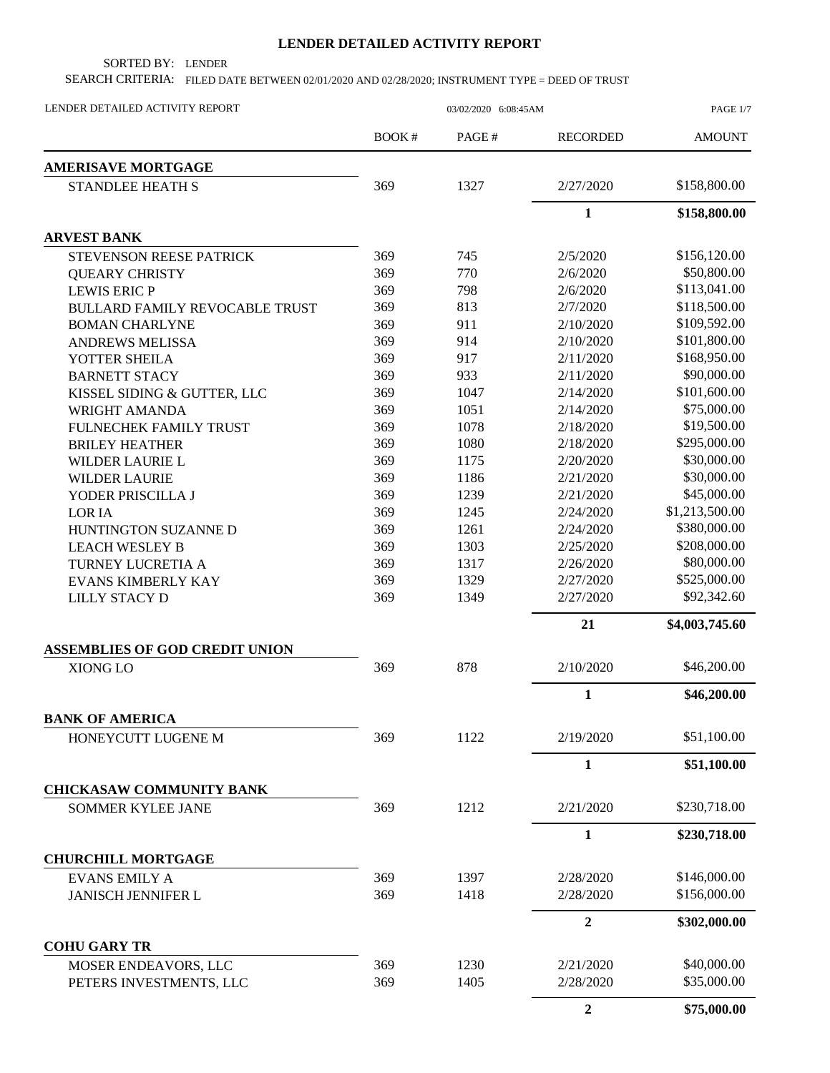## **LENDER DETAILED ACTIVITY REPORT**

SORTED BY: LENDER

SEARCH CRITERIA: FILED DATE BETWEEN 02/01/2020 AND 02/28/2020; INSTRUMENT TYPE = DEED OF TRUST

| LENDER DETAILED ACTIVITY REPORT       | 03/02/2020 6:08:45AM |       |                 | PAGE 1/7       |
|---------------------------------------|----------------------|-------|-----------------|----------------|
|                                       | BOOK#                | PAGE# | <b>RECORDED</b> | <b>AMOUNT</b>  |
| <b>AMERISAVE MORTGAGE</b>             |                      |       |                 |                |
| <b>STANDLEE HEATH S</b>               | 369                  | 1327  | 2/27/2020       | \$158,800.00   |
|                                       |                      |       | $\mathbf{1}$    | \$158,800.00   |
| <b>ARVEST BANK</b>                    |                      |       |                 |                |
| <b>STEVENSON REESE PATRICK</b>        | 369                  | 745   | 2/5/2020        | \$156,120.00   |
| <b>QUEARY CHRISTY</b>                 | 369                  | 770   | 2/6/2020        | \$50,800.00    |
| <b>LEWIS ERIC P</b>                   | 369                  | 798   | 2/6/2020        | \$113,041.00   |
| <b>BULLARD FAMILY REVOCABLE TRUST</b> | 369                  | 813   | 2/7/2020        | \$118,500.00   |
| <b>BOMAN CHARLYNE</b>                 | 369                  | 911   | 2/10/2020       | \$109,592.00   |
| <b>ANDREWS MELISSA</b>                | 369                  | 914   | 2/10/2020       | \$101,800.00   |
| YOTTER SHEILA                         | 369                  | 917   | 2/11/2020       | \$168,950.00   |
| <b>BARNETT STACY</b>                  | 369                  | 933   | 2/11/2020       | \$90,000.00    |
| KISSEL SIDING & GUTTER, LLC           | 369                  | 1047  | 2/14/2020       | \$101,600.00   |
| WRIGHT AMANDA                         | 369                  | 1051  | 2/14/2020       | \$75,000.00    |
| FULNECHEK FAMILY TRUST                | 369                  | 1078  | 2/18/2020       | \$19,500.00    |
| <b>BRILEY HEATHER</b>                 | 369                  | 1080  | 2/18/2020       | \$295,000.00   |
| WILDER LAURIE L                       | 369                  | 1175  | 2/20/2020       | \$30,000.00    |
| <b>WILDER LAURIE</b>                  | 369                  | 1186  | 2/21/2020       | \$30,000.00    |
| YODER PRISCILLA J                     | 369                  | 1239  | 2/21/2020       | \$45,000.00    |
| <b>LORIA</b>                          | 369                  | 1245  | 2/24/2020       | \$1,213,500.00 |
| HUNTINGTON SUZANNE D                  | 369                  | 1261  | 2/24/2020       | \$380,000.00   |
| <b>LEACH WESLEY B</b>                 | 369                  | 1303  | 2/25/2020       | \$208,000.00   |
| TURNEY LUCRETIA A                     | 369                  | 1317  | 2/26/2020       | \$80,000.00    |
| <b>EVANS KIMBERLY KAY</b>             | 369                  | 1329  | 2/27/2020       | \$525,000.00   |
| <b>LILLY STACY D</b>                  | 369                  | 1349  | 2/27/2020       | \$92,342.60    |
|                                       |                      |       | 21              | \$4,003,745.60 |
| <b>ASSEMBLIES OF GOD CREDIT UNION</b> |                      |       |                 |                |
| XIONG LO                              | 369                  | 878   | 2/10/2020       | \$46,200.00    |
|                                       |                      |       | 1               | \$46,200.00    |
| <b>BANK OF AMERICA</b>                |                      |       |                 |                |
| HONEYCUTT LUGENE M                    | 369                  | 1122  | 2/19/2020       | \$51,100.00    |
|                                       |                      |       | $\mathbf{1}$    | \$51,100.00    |
| <b>CHICKASAW COMMUNITY BANK</b>       |                      |       |                 |                |
| <b>SOMMER KYLEE JANE</b>              | 369                  | 1212  | 2/21/2020       | \$230,718.00   |
|                                       |                      |       | $\mathbf{1}$    | \$230,718.00   |
| <b>CHURCHILL MORTGAGE</b>             |                      |       |                 |                |
| <b>EVANS EMILY A</b>                  | 369                  | 1397  | 2/28/2020       | \$146,000.00   |
| <b>JANISCH JENNIFER L</b>             | 369                  | 1418  | 2/28/2020       | \$156,000.00   |
|                                       |                      |       | $\overline{2}$  | \$302,000.00   |
| <b>COHU GARY TR</b>                   |                      |       |                 |                |
| MOSER ENDEAVORS, LLC                  | 369                  | 1230  | 2/21/2020       | \$40,000.00    |
| PETERS INVESTMENTS, LLC               | 369                  | 1405  | 2/28/2020       | \$35,000.00    |
|                                       |                      |       | $\overline{2}$  | \$75,000.00    |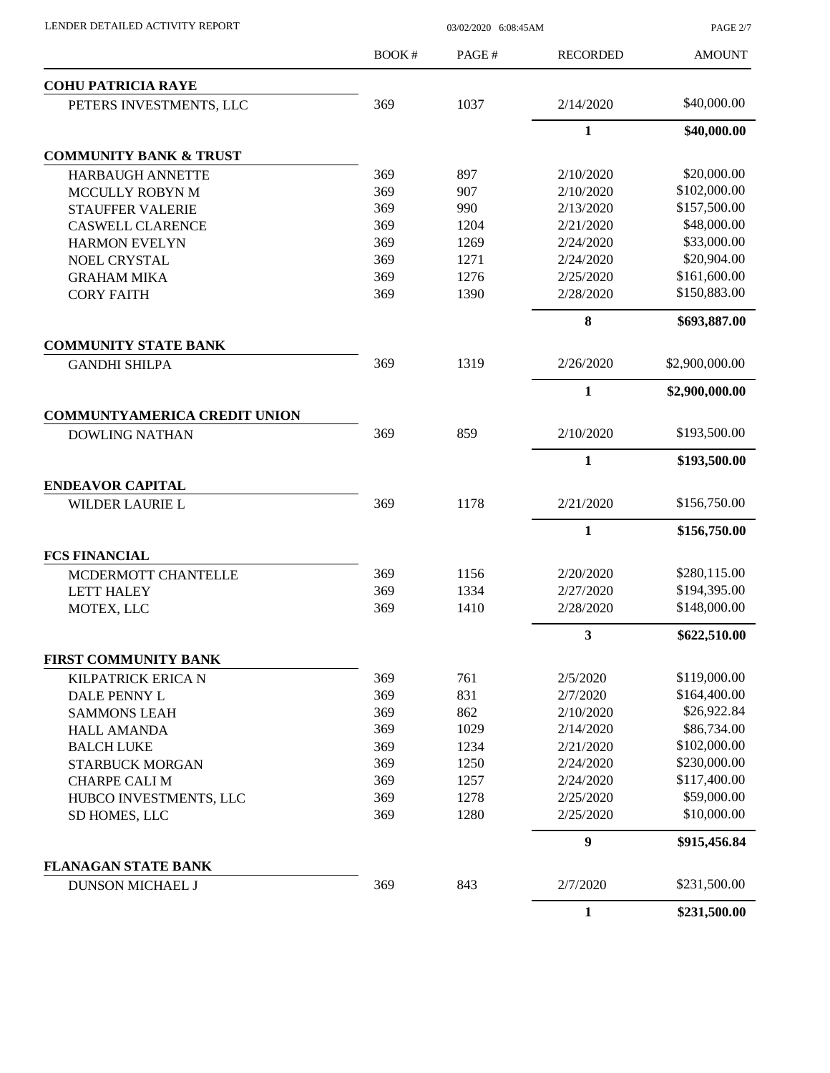| LENDER DETAILED ACTIVITY REPORT |  |
|---------------------------------|--|
|                                 |  |

03/02/2020 6:08:45AM

PAGE 2/7

|                                                              | BOOK# | PAGE# | <b>RECORDED</b>  | <b>AMOUNT</b>  |
|--------------------------------------------------------------|-------|-------|------------------|----------------|
| <b>COHU PATRICIA RAYE</b>                                    |       |       |                  |                |
| PETERS INVESTMENTS, LLC                                      | 369   | 1037  | 2/14/2020        | \$40,000.00    |
|                                                              |       |       | 1                | \$40,000.00    |
| <b>COMMUNITY BANK &amp; TRUST</b>                            |       |       |                  |                |
| <b>HARBAUGH ANNETTE</b>                                      | 369   | 897   | 2/10/2020        | \$20,000.00    |
| <b>MCCULLY ROBYN M</b>                                       | 369   | 907   | 2/10/2020        | \$102,000.00   |
| <b>STAUFFER VALERIE</b>                                      | 369   | 990   | 2/13/2020        | \$157,500.00   |
| <b>CASWELL CLARENCE</b>                                      | 369   | 1204  | 2/21/2020        | \$48,000.00    |
| <b>HARMON EVELYN</b>                                         | 369   | 1269  | 2/24/2020        | \$33,000.00    |
| <b>NOEL CRYSTAL</b>                                          | 369   | 1271  | 2/24/2020        | \$20,904.00    |
| <b>GRAHAM MIKA</b>                                           | 369   | 1276  | 2/25/2020        | \$161,600.00   |
| <b>CORY FAITH</b>                                            | 369   | 1390  | 2/28/2020        | \$150,883.00   |
|                                                              |       |       | 8                | \$693,887.00   |
| <b>COMMUNITY STATE BANK</b>                                  | 369   | 1319  | 2/26/2020        | \$2,900,000.00 |
| <b>GANDHI SHILPA</b>                                         |       |       |                  |                |
|                                                              |       |       | $\mathbf{1}$     | \$2,900,000.00 |
| <b>COMMUNTYAMERICA CREDIT UNION</b><br><b>DOWLING NATHAN</b> | 369   | 859   | 2/10/2020        | \$193,500.00   |
|                                                              |       |       | $\mathbf{1}$     | \$193,500.00   |
| <b>ENDEAVOR CAPITAL</b>                                      |       |       |                  |                |
| WILDER LAURIE L                                              | 369   | 1178  | 2/21/2020        | \$156,750.00   |
|                                                              |       |       | $\mathbf{1}$     | \$156,750.00   |
| <b>FCS FINANCIAL</b>                                         |       |       |                  |                |
| MCDERMOTT CHANTELLE                                          | 369   | 1156  | 2/20/2020        | \$280,115.00   |
| <b>LETT HALEY</b>                                            | 369   | 1334  | 2/27/2020        | \$194,395.00   |
| MOTEX, LLC                                                   | 369   | 1410  | 2/28/2020        | \$148,000.00   |
|                                                              |       |       | 3                | \$622,510.00   |
| <b>FIRST COMMUNITY BANK</b>                                  |       |       |                  |                |
| KILPATRICK ERICA N                                           | 369   | 761   | 2/5/2020         | \$119,000.00   |
| DALE PENNY L                                                 | 369   | 831   | 2/7/2020         | \$164,400.00   |
| <b>SAMMONS LEAH</b>                                          | 369   | 862   | 2/10/2020        | \$26,922.84    |
| <b>HALL AMANDA</b>                                           | 369   | 1029  | 2/14/2020        | \$86,734.00    |
| <b>BALCH LUKE</b>                                            | 369   | 1234  | 2/21/2020        | \$102,000.00   |
| STARBUCK MORGAN                                              | 369   | 1250  | 2/24/2020        | \$230,000.00   |
| <b>CHARPE CALI M</b>                                         | 369   | 1257  | 2/24/2020        | \$117,400.00   |
| HUBCO INVESTMENTS, LLC                                       | 369   | 1278  | 2/25/2020        | \$59,000.00    |
| SD HOMES, LLC                                                | 369   | 1280  | 2/25/2020        | \$10,000.00    |
|                                                              |       |       | $\boldsymbol{9}$ | \$915,456.84   |
| <b>FLANAGAN STATE BANK</b>                                   |       |       |                  |                |
| DUNSON MICHAEL J                                             | 369   | 843   | 2/7/2020         | \$231,500.00   |
|                                                              |       |       | $\mathbf{1}$     | \$231,500.00   |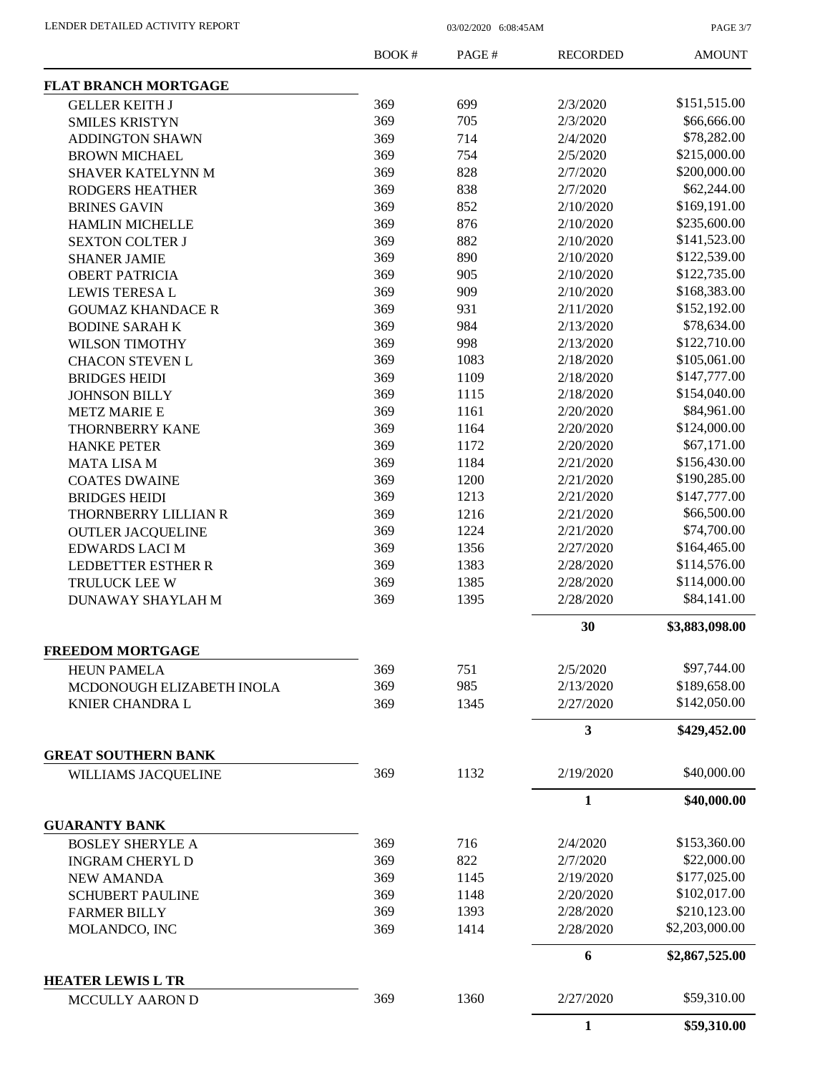PAGE 3/7

|                             | BOOK# | PAGE# | <b>RECORDED</b> | <b>AMOUNT</b>  |
|-----------------------------|-------|-------|-----------------|----------------|
| <b>FLAT BRANCH MORTGAGE</b> |       |       |                 |                |
| <b>GELLER KEITH J</b>       | 369   | 699   | 2/3/2020        | \$151,515.00   |
| <b>SMILES KRISTYN</b>       | 369   | 705   | 2/3/2020        | \$66,666.00    |
| <b>ADDINGTON SHAWN</b>      | 369   | 714   | 2/4/2020        | \$78,282.00    |
| <b>BROWN MICHAEL</b>        | 369   | 754   | 2/5/2020        | \$215,000.00   |
| SHAVER KATELYNN M           | 369   | 828   | 2/7/2020        | \$200,000.00   |
| <b>RODGERS HEATHER</b>      | 369   | 838   | 2/7/2020        | \$62,244.00    |
| <b>BRINES GAVIN</b>         | 369   | 852   | 2/10/2020       | \$169,191.00   |
| <b>HAMLIN MICHELLE</b>      | 369   | 876   | 2/10/2020       | \$235,600.00   |
| <b>SEXTON COLTER J</b>      | 369   | 882   | 2/10/2020       | \$141,523.00   |
| <b>SHANER JAMIE</b>         | 369   | 890   | 2/10/2020       | \$122,539.00   |
| <b>OBERT PATRICIA</b>       | 369   | 905   | 2/10/2020       | \$122,735.00   |
| <b>LEWIS TERESA L</b>       | 369   | 909   | 2/10/2020       | \$168,383.00   |
| <b>GOUMAZ KHANDACE R</b>    | 369   | 931   | 2/11/2020       | \$152,192.00   |
| <b>BODINE SARAH K</b>       | 369   | 984   | 2/13/2020       | \$78,634.00    |
| <b>WILSON TIMOTHY</b>       | 369   | 998   | 2/13/2020       | \$122,710.00   |
|                             | 369   | 1083  | 2/18/2020       | \$105,061.00   |
| <b>CHACON STEVEN L</b>      |       |       |                 | \$147,777.00   |
| <b>BRIDGES HEIDI</b>        | 369   | 1109  | 2/18/2020       |                |
| <b>JOHNSON BILLY</b>        | 369   | 1115  | 2/18/2020       | \$154,040.00   |
| <b>METZ MARIE E</b>         | 369   | 1161  | 2/20/2020       | \$84,961.00    |
| <b>THORNBERRY KANE</b>      | 369   | 1164  | 2/20/2020       | \$124,000.00   |
| <b>HANKE PETER</b>          | 369   | 1172  | 2/20/2020       | \$67,171.00    |
| <b>MATA LISA M</b>          | 369   | 1184  | 2/21/2020       | \$156,430.00   |
| <b>COATES DWAINE</b>        | 369   | 1200  | 2/21/2020       | \$190,285.00   |
| <b>BRIDGES HEIDI</b>        | 369   | 1213  | 2/21/2020       | \$147,777.00   |
| THORNBERRY LILLIAN R        | 369   | 1216  | 2/21/2020       | \$66,500.00    |
| <b>OUTLER JACQUELINE</b>    | 369   | 1224  | 2/21/2020       | \$74,700.00    |
| <b>EDWARDS LACI M</b>       | 369   | 1356  | 2/27/2020       | \$164,465.00   |
| <b>LEDBETTER ESTHER R</b>   | 369   | 1383  | 2/28/2020       | \$114,576.00   |
| TRULUCK LEE W               | 369   | 1385  | 2/28/2020       | \$114,000.00   |
| DUNAWAY SHAYLAH M           | 369   | 1395  | 2/28/2020       | \$84,141.00    |
|                             |       |       | 30              | \$3,883,098.00 |
| <b>FREEDOM MORTGAGE</b>     |       |       |                 |                |
| <b>HEUN PAMELA</b>          | 369   | 751   | 2/5/2020        | \$97,744.00    |
| MCDONOUGH ELIZABETH INOLA   | 369   | 985   | 2/13/2020       | \$189,658.00   |
| KNIER CHANDRA L             | 369   | 1345  | 2/27/2020       | \$142,050.00   |
|                             |       |       | 3               | \$429,452.00   |
| <b>GREAT SOUTHERN BANK</b>  |       |       |                 |                |
| WILLIAMS JACOUELINE         | 369   | 1132  | 2/19/2020       | \$40,000.00    |
|                             |       |       | $\mathbf{1}$    | \$40,000.00    |
| <b>GUARANTY BANK</b>        |       |       |                 |                |
| <b>BOSLEY SHERYLE A</b>     | 369   | 716   | 2/4/2020        | \$153,360.00   |
| <b>INGRAM CHERYL D</b>      | 369   | 822   | 2/7/2020        | \$22,000.00    |
| <b>NEW AMANDA</b>           | 369   | 1145  | 2/19/2020       | \$177,025.00   |
| <b>SCHUBERT PAULINE</b>     | 369   | 1148  | 2/20/2020       | \$102,017.00   |
| <b>FARMER BILLY</b>         | 369   | 1393  | 2/28/2020       | \$210,123.00   |
| MOLANDCO, INC               | 369   | 1414  | 2/28/2020       | \$2,203,000.00 |
|                             |       |       | 6               | \$2,867,525.00 |
| <b>HEATER LEWIS L TR</b>    |       |       |                 |                |
| MCCULLY AARON D             | 369   | 1360  | 2/27/2020       | \$59,310.00    |
|                             |       |       | $\mathbf{1}$    | \$59,310.00    |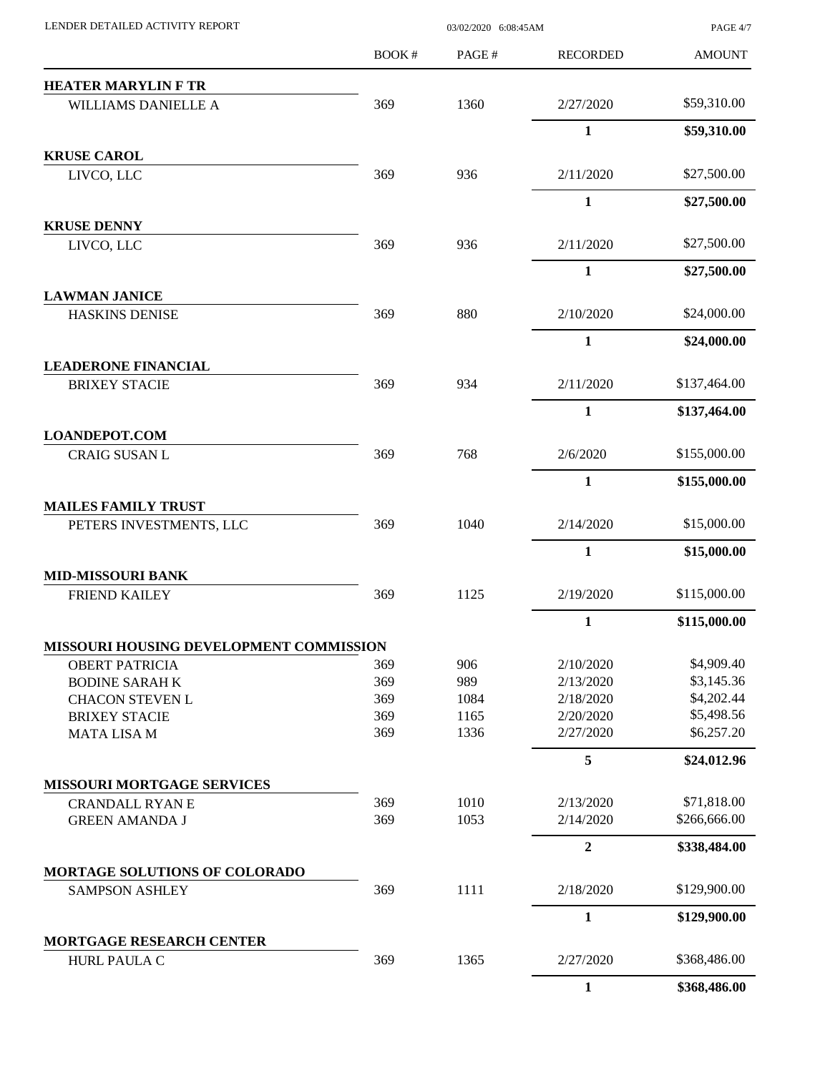| LENDER DETAILED ACTIVITY REPORT         | 03/02/2020 6:08:45AM |       |                  | PAGE 4/7      |
|-----------------------------------------|----------------------|-------|------------------|---------------|
|                                         | BOOK#                | PAGE# | <b>RECORDED</b>  | <b>AMOUNT</b> |
| <b>HEATER MARYLIN F TR</b>              |                      |       |                  |               |
| WILLIAMS DANIELLE A                     | 369                  | 1360  | 2/27/2020        | \$59,310.00   |
|                                         |                      |       | 1                | \$59,310.00   |
| <b>KRUSE CAROL</b>                      |                      |       |                  |               |
| LIVCO, LLC                              | 369                  | 936   | 2/11/2020        | \$27,500.00   |
|                                         |                      |       | $\mathbf{1}$     | \$27,500.00   |
| <b>KRUSE DENNY</b>                      |                      |       |                  |               |
| LIVCO, LLC                              | 369                  | 936   | 2/11/2020        | \$27,500.00   |
|                                         |                      |       | $\mathbf{1}$     | \$27,500.00   |
| <b>LAWMAN JANICE</b>                    |                      |       |                  |               |
| <b>HASKINS DENISE</b>                   | 369                  | 880   | 2/10/2020        | \$24,000.00   |
|                                         |                      |       | $\mathbf{1}$     | \$24,000.00   |
| <b>LEADERONE FINANCIAL</b>              |                      |       |                  |               |
| <b>BRIXEY STACIE</b>                    | 369                  | 934   | 2/11/2020        | \$137,464.00  |
|                                         |                      |       | $\mathbf{1}$     | \$137,464.00  |
| <b>LOANDEPOT.COM</b>                    |                      |       |                  |               |
| <b>CRAIG SUSAN L</b>                    | 369                  | 768   | 2/6/2020         | \$155,000.00  |
|                                         |                      |       | $\mathbf{1}$     | \$155,000.00  |
| <b>MAILES FAMILY TRUST</b>              |                      |       |                  |               |
| PETERS INVESTMENTS, LLC                 | 369                  | 1040  | 2/14/2020        | \$15,000.00   |
|                                         |                      |       | $\mathbf{1}$     | \$15,000.00   |
| <b>MID-MISSOURI BANK</b>                |                      |       |                  |               |
| <b>FRIEND KAILEY</b>                    | 369                  | 1125  | 2/19/2020        | \$115,000.00  |
|                                         |                      |       | 1                | \$115,000.00  |
| MISSOURI HOUSING DEVELOPMENT COMMISSION |                      |       |                  |               |
| <b>OBERT PATRICIA</b>                   | 369                  | 906   | 2/10/2020        | \$4,909.40    |
| <b>BODINE SARAH K</b>                   | 369                  | 989   | 2/13/2020        | \$3,145.36    |
| <b>CHACON STEVEN L</b>                  | 369                  | 1084  | 2/18/2020        | \$4,202.44    |
| <b>BRIXEY STACIE</b>                    | 369                  | 1165  | 2/20/2020        | \$5,498.56    |
| <b>MATA LISA M</b>                      | 369                  | 1336  | 2/27/2020        | \$6,257.20    |
|                                         |                      |       | 5                | \$24,012.96   |
| MISSOURI MORTGAGE SERVICES              |                      |       |                  |               |
| <b>CRANDALL RYAN E</b>                  | 369                  | 1010  | 2/13/2020        | \$71,818.00   |
| <b>GREEN AMANDA J</b>                   | 369                  | 1053  | 2/14/2020        | \$266,666.00  |
|                                         |                      |       | $\boldsymbol{2}$ | \$338,484.00  |
| MORTAGE SOLUTIONS OF COLORADO           |                      |       |                  |               |
| <b>SAMPSON ASHLEY</b>                   | 369                  | 1111  | 2/18/2020        | \$129,900.00  |
|                                         |                      |       | $\mathbf{1}$     | \$129,900.00  |
| MORTGAGE RESEARCH CENTER                |                      |       |                  |               |
| HURL PAULA C                            | 369                  | 1365  | 2/27/2020        | \$368,486.00  |
|                                         |                      |       | $\mathbf{1}$     | \$368,486.00  |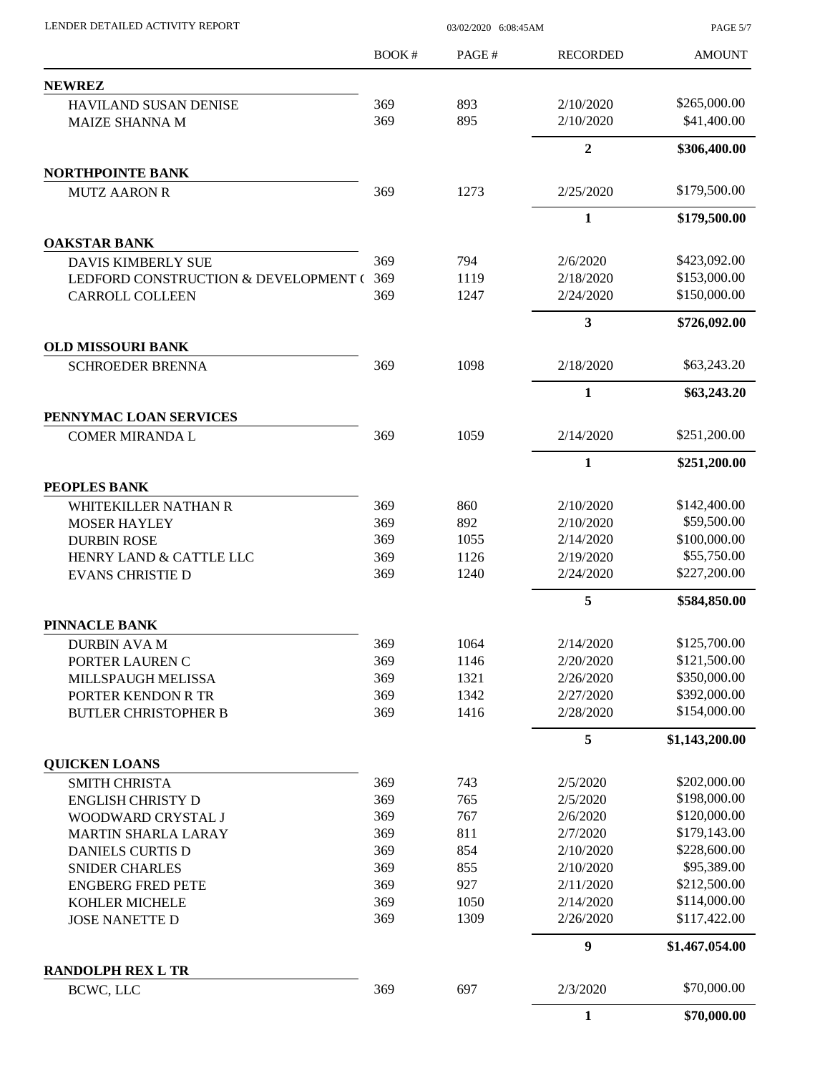PAGE 5/7

|                                                  | BOOK# | PAGE# | <b>RECORDED</b>         | <b>AMOUNT</b>  |
|--------------------------------------------------|-------|-------|-------------------------|----------------|
| <b>NEWREZ</b>                                    |       |       |                         |                |
| <b>HAVILAND SUSAN DENISE</b>                     | 369   | 893   | 2/10/2020               | \$265,000.00   |
| <b>MAIZE SHANNA M</b>                            | 369   | 895   | 2/10/2020               | \$41,400.00    |
|                                                  |       |       | $\overline{2}$          | \$306,400.00   |
| <b>NORTHPOINTE BANK</b>                          |       |       |                         |                |
| <b>MUTZ AARON R</b>                              | 369   | 1273  | 2/25/2020               | \$179,500.00   |
|                                                  |       |       | $\mathbf{1}$            | \$179,500.00   |
| <b>OAKSTAR BANK</b>                              |       |       |                         |                |
| <b>DAVIS KIMBERLY SUE</b>                        | 369   | 794   | 2/6/2020                | \$423,092.00   |
| LEDFORD CONSTRUCTION & DEVELOPMENT (             | 369   | 1119  | 2/18/2020               | \$153,000.00   |
| <b>CARROLL COLLEEN</b>                           | 369   | 1247  | 2/24/2020               | \$150,000.00   |
|                                                  |       |       | $\overline{\mathbf{3}}$ | \$726,092.00   |
| <b>OLD MISSOURI BANK</b>                         |       |       |                         |                |
| <b>SCHROEDER BRENNA</b>                          | 369   | 1098  | 2/18/2020               | \$63,243.20    |
|                                                  |       |       | $\mathbf{1}$            | \$63,243.20    |
| PENNYMAC LOAN SERVICES<br><b>COMER MIRANDA L</b> | 369   | 1059  | 2/14/2020               | \$251,200.00   |
|                                                  |       |       | 1                       | \$251,200.00   |
| PEOPLES BANK                                     |       |       |                         |                |
| WHITEKILLER NATHAN R                             | 369   | 860   | 2/10/2020               | \$142,400.00   |
| <b>MOSER HAYLEY</b>                              | 369   | 892   | 2/10/2020               | \$59,500.00    |
| <b>DURBIN ROSE</b>                               | 369   | 1055  | 2/14/2020               | \$100,000.00   |
| HENRY LAND & CATTLE LLC                          | 369   | 1126  | 2/19/2020               | \$55,750.00    |
| <b>EVANS CHRISTIE D</b>                          | 369   | 1240  | 2/24/2020               | \$227,200.00   |
|                                                  |       |       | 5                       | \$584,850.00   |
| PINNACLE BANK                                    |       |       |                         |                |
| <b>DURBIN AVA M</b>                              | 369   | 1064  | 2/14/2020               | \$125,700.00   |
| PORTER LAUREN C                                  | 369   | 1146  | 2/20/2020               | \$121,500.00   |
| MILLSPAUGH MELISSA                               | 369   | 1321  | 2/26/2020               | \$350,000.00   |
| PORTER KENDON R TR                               | 369   | 1342  | 2/27/2020               | \$392,000.00   |
| <b>BUTLER CHRISTOPHER B</b>                      | 369   | 1416  | 2/28/2020               | \$154,000.00   |
|                                                  |       |       | 5                       | \$1,143,200.00 |
| <b>QUICKEN LOANS</b>                             |       |       |                         |                |
| <b>SMITH CHRISTA</b>                             | 369   | 743   | 2/5/2020                | \$202,000.00   |
| <b>ENGLISH CHRISTY D</b>                         | 369   | 765   | 2/5/2020                | \$198,000.00   |
| WOODWARD CRYSTAL J                               | 369   | 767   | 2/6/2020                | \$120,000.00   |
| <b>MARTIN SHARLA LARAY</b>                       | 369   | 811   | 2/7/2020                | \$179,143.00   |
| <b>DANIELS CURTIS D</b>                          | 369   | 854   | 2/10/2020               | \$228,600.00   |
| <b>SNIDER CHARLES</b>                            | 369   | 855   | 2/10/2020               | \$95,389.00    |
| <b>ENGBERG FRED PETE</b>                         | 369   | 927   | 2/11/2020               | \$212,500.00   |
| KOHLER MICHELE                                   | 369   | 1050  | 2/14/2020               | \$114,000.00   |
| <b>JOSE NANETTE D</b>                            | 369   | 1309  | 2/26/2020               | \$117,422.00   |
|                                                  |       |       | 9                       | \$1,467,054.00 |
| <b>RANDOLPH REX L TR</b>                         |       |       |                         |                |
| BCWC, LLC                                        | 369   | 697   | 2/3/2020                | \$70,000.00    |
|                                                  |       |       | $\mathbf{1}$            | \$70,000.00    |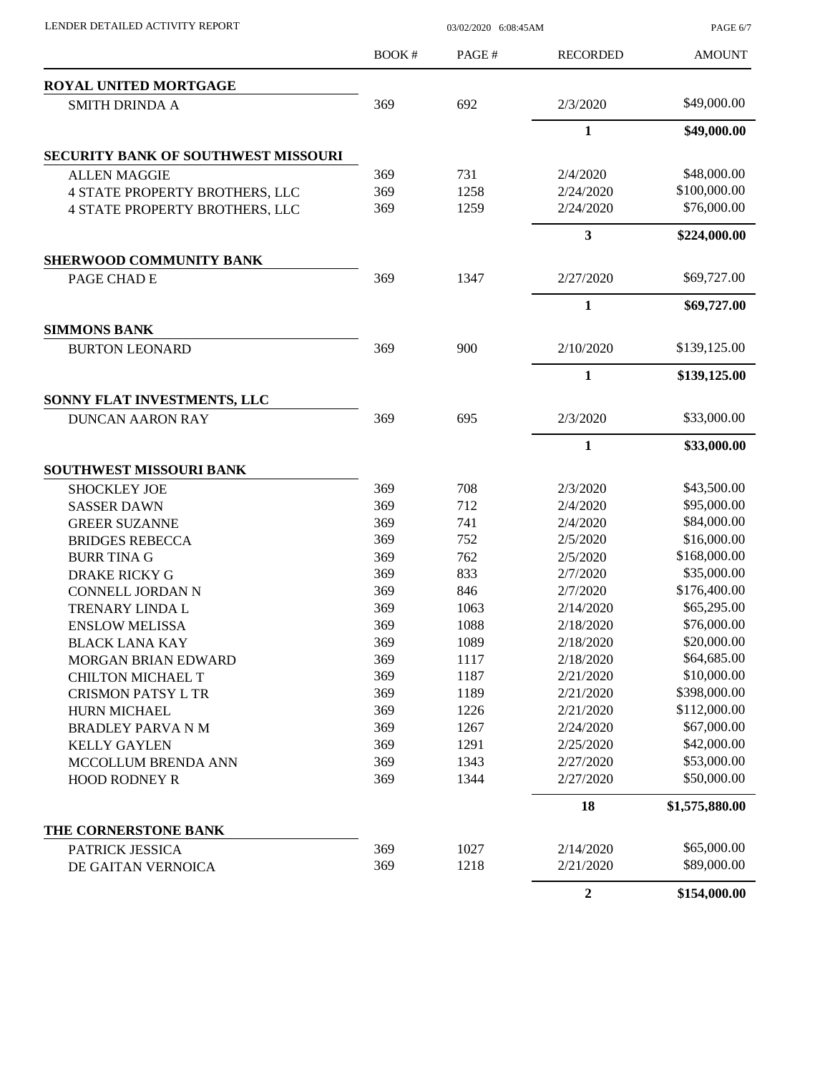| LENDER DETAILED ACTIVITY REPORT            | 03/02/2020 6:08:45AM |       |                         | PAGE 6/7       |
|--------------------------------------------|----------------------|-------|-------------------------|----------------|
|                                            | BOOK#                | PAGE# | <b>RECORDED</b>         | <b>AMOUNT</b>  |
| ROYAL UNITED MORTGAGE                      |                      |       |                         |                |
| <b>SMITH DRINDA A</b>                      | 369                  | 692   | 2/3/2020                | \$49,000.00    |
|                                            |                      |       | $\mathbf{1}$            | \$49,000.00    |
| <b>SECURITY BANK OF SOUTHWEST MISSOURI</b> |                      |       |                         |                |
| <b>ALLEN MAGGIE</b>                        | 369                  | 731   | 2/4/2020                | \$48,000.00    |
| <b>4 STATE PROPERTY BROTHERS, LLC</b>      | 369                  | 1258  | 2/24/2020               | \$100,000.00   |
| <b>4 STATE PROPERTY BROTHERS, LLC</b>      | 369                  | 1259  | 2/24/2020               | \$76,000.00    |
|                                            |                      |       | $\overline{\mathbf{3}}$ | \$224,000.00   |
| <b>SHERWOOD COMMUNITY BANK</b>             |                      |       |                         |                |
| PAGE CHAD E                                | 369                  | 1347  | 2/27/2020               | \$69,727.00    |
|                                            |                      |       | 1                       | \$69,727.00    |
| <b>SIMMONS BANK</b>                        |                      |       |                         |                |
| <b>BURTON LEONARD</b>                      | 369                  | 900   | 2/10/2020               | \$139,125.00   |
|                                            |                      |       | $\mathbf{1}$            | \$139,125.00   |
| SONNY FLAT INVESTMENTS, LLC                |                      |       |                         |                |
| <b>DUNCAN AARON RAY</b>                    | 369                  | 695   | 2/3/2020                | \$33,000.00    |
|                                            |                      |       | $\mathbf{1}$            | \$33,000.00    |
| <b>SOUTHWEST MISSOURI BANK</b>             |                      |       |                         |                |
| <b>SHOCKLEY JOE</b>                        | 369                  | 708   | 2/3/2020                | \$43,500.00    |
| <b>SASSER DAWN</b>                         | 369                  | 712   | 2/4/2020                | \$95,000.00    |
| <b>GREER SUZANNE</b>                       | 369                  | 741   | 2/4/2020                | \$84,000.00    |
| <b>BRIDGES REBECCA</b>                     | 369                  | 752   | 2/5/2020                | \$16,000.00    |
| <b>BURR TINA G</b>                         | 369                  | 762   | 2/5/2020                | \$168,000.00   |
| <b>DRAKE RICKY G</b>                       | 369                  | 833   | 2/7/2020                | \$35,000.00    |
| CONNELL JORDAN N                           | 369                  | 846   | 2/7/2020                | \$176,400.00   |
| TRENARY LINDA L                            | 369                  | 1063  | 2/14/2020               | \$65,295.00    |
| <b>ENSLOW MELISSA</b>                      | 369                  | 1088  | 2/18/2020               | \$76,000.00    |
| <b>BLACK LANA KAY</b>                      | 369                  | 1089  | 2/18/2020               | \$20,000.00    |
| MORGAN BRIAN EDWARD                        | 369                  | 1117  | 2/18/2020               | \$64,685.00    |
| <b>CHILTON MICHAEL T</b>                   | 369                  | 1187  | 2/21/2020               | \$10,000.00    |
| <b>CRISMON PATSY L TR</b>                  | 369                  | 1189  | 2/21/2020               | \$398,000.00   |
| HURN MICHAEL                               | 369                  | 1226  | 2/21/2020               | \$112,000.00   |
| <b>BRADLEY PARVA N M</b>                   | 369                  | 1267  | 2/24/2020               | \$67,000.00    |
| <b>KELLY GAYLEN</b>                        | 369                  | 1291  | 2/25/2020               | \$42,000.00    |
| MCCOLLUM BRENDA ANN                        | 369                  | 1343  | 2/27/2020               | \$53,000.00    |
| <b>HOOD RODNEY R</b>                       | 369                  | 1344  | 2/27/2020               | \$50,000.00    |
|                                            |                      |       | 18                      | \$1,575,880.00 |
| THE CORNERSTONE BANK                       |                      |       |                         |                |
| PATRICK JESSICA                            | 369                  | 1027  | 2/14/2020               | \$65,000.00    |
| DE GAITAN VERNOICA                         | 369                  | 1218  | 2/21/2020               | \$89,000.00    |
|                                            |                      |       | $\overline{2}$          | \$154,000.00   |